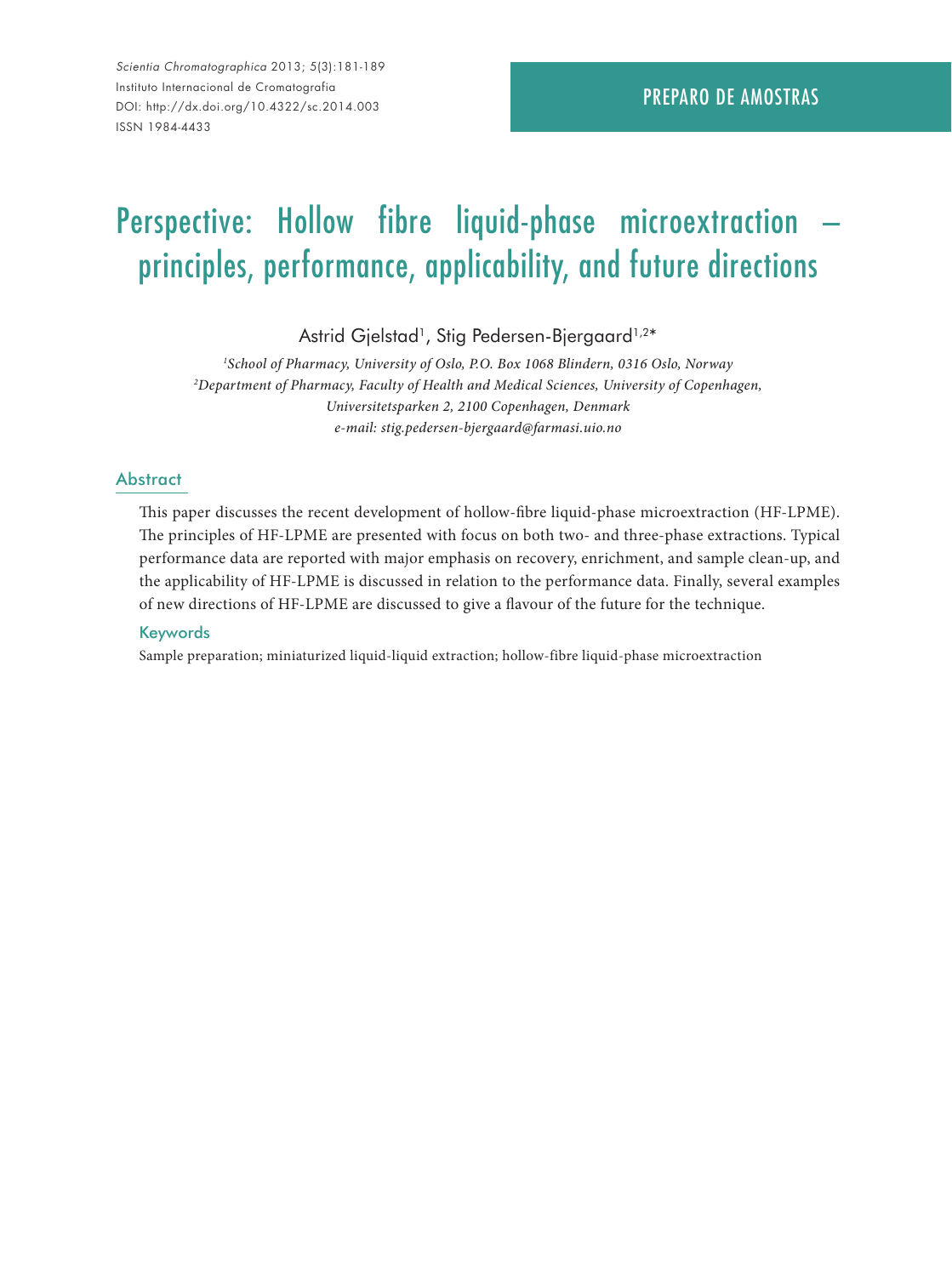*Scientia Chromatographica* 2013; 5(3):181-189 Instituto Internacional de Cromatografia DOI: http://dx.doi.org/10.4322/sc.2014.003 ISSN 1984-4433

# Perspective: Hollow fibre liquid-phase microextraction principles, performance, applicability, and future directions

Astrid Gjelstad<sup>1</sup>, Stig Pedersen-Bjergaard<sup>1,2\*</sup>

*1 School of Pharmacy, University of Oslo, P.O. Box 1068 Blindern, 0316 Oslo, Norway 2 Department of Pharmacy, Faculty of Health and Medical Sciences, University of Copenhagen, Universitetsparken 2, 2100 Copenhagen, Denmark e-mail: stig.pedersen-bjergaard@farmasi.uio.no*

#### **Abstract**

This paper discusses the recent development of hollow-fibre liquid-phase microextraction (HF-LPME). The principles of HF-LPME are presented with focus on both two- and three-phase extractions. Typical performance data are reported with major emphasis on recovery, enrichment, and sample clean-up, and the applicability of HF-LPME is discussed in relation to the performance data. Finally, several examples of new directions of HF-LPME are discussed to give a flavour of the future for the technique.

#### **Keywords**

Sample preparation; miniaturized liquid-liquid extraction; hollow-fibre liquid-phase microextraction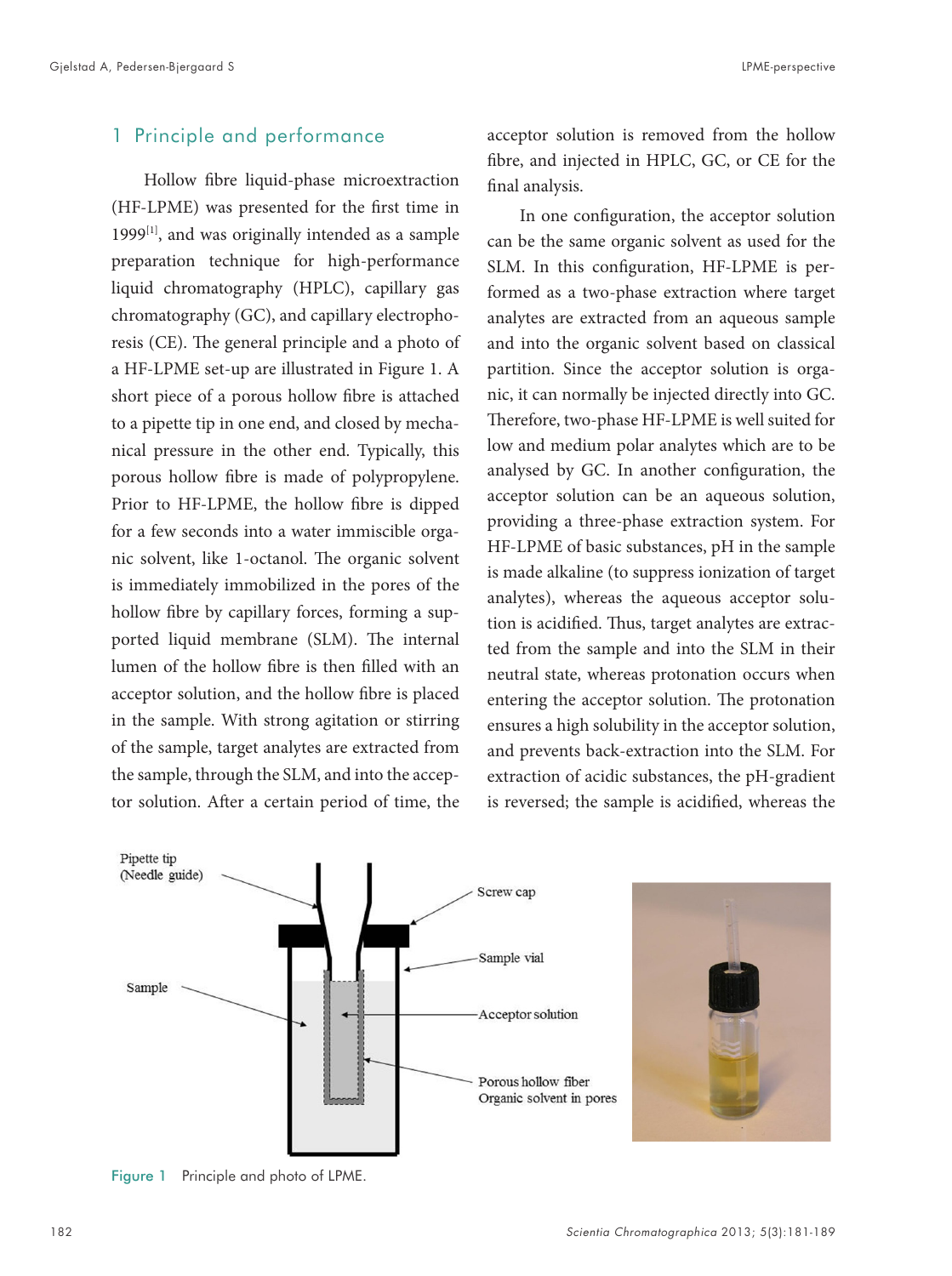#### 1 Principle and performance

Hollow fibre liquid-phase microextraction (HF-LPME) was presented for the first time in 1999<sup>[1]</sup>, and was originally intended as a sample preparation technique for high-performance liquid chromatography (HPLC), capillary gas chromatography (GC), and capillary electrophoresis (CE). The general principle and a photo of a HF-LPME set-up are illustrated in Figure 1. A short piece of a porous hollow fibre is attached to a pipette tip in one end, and closed by mechanical pressure in the other end. Typically, this porous hollow fibre is made of polypropylene. Prior to HF-LPME, the hollow fibre is dipped for a few seconds into a water immiscible organic solvent, like 1-octanol. The organic solvent is immediately immobilized in the pores of the hollow fibre by capillary forces, forming a supported liquid membrane (SLM). The internal lumen of the hollow fibre is then filled with an acceptor solution, and the hollow fibre is placed in the sample. With strong agitation or stirring of the sample, target analytes are extracted from the sample, through the SLM, and into the acceptor solution. After a certain period of time, the

acceptor solution is removed from the hollow fibre, and injected in HPLC, GC, or CE for the final analysis.

In one configuration, the acceptor solution can be the same organic solvent as used for the SLM. In this configuration, HF-LPME is performed as a two-phase extraction where target analytes are extracted from an aqueous sample and into the organic solvent based on classical partition. Since the acceptor solution is organic, it can normally be injected directly into GC. Therefore, two-phase HF-LPME is well suited for low and medium polar analytes which are to be analysed by GC. In another configuration, the acceptor solution can be an aqueous solution, providing a three-phase extraction system. For HF-LPME of basic substances, pH in the sample is made alkaline (to suppress ionization of target analytes), whereas the aqueous acceptor solution is acidified. Thus, target analytes are extracted from the sample and into the SLM in their neutral state, whereas protonation occurs when entering the acceptor solution. The protonation ensures a high solubility in the acceptor solution, and prevents back-extraction into the SLM. For extraction of acidic substances, the pH-gradient is reversed; the sample is acidified, whereas the



Figure 1 Principle and photo of LPME.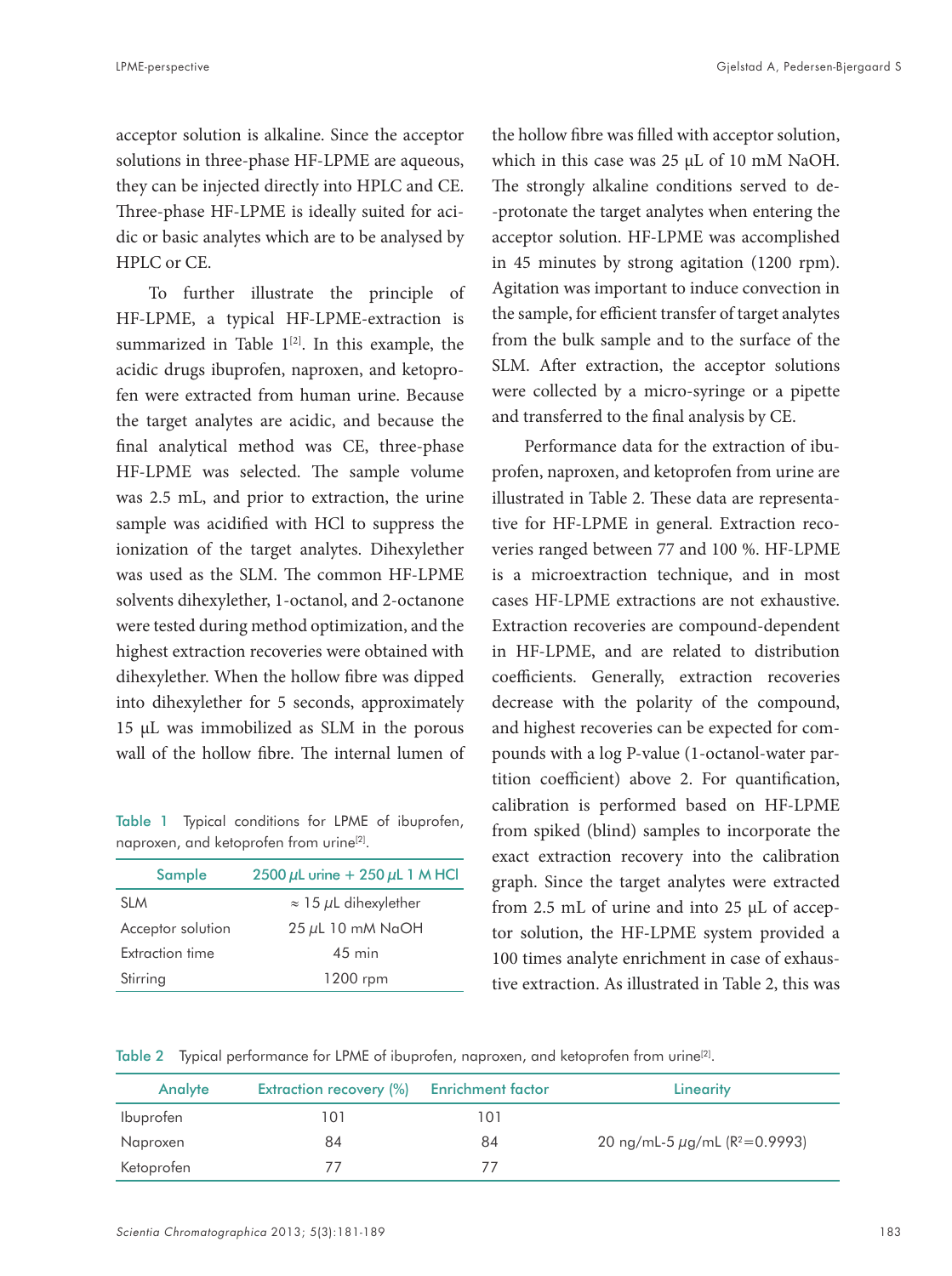acceptor solution is alkaline. Since the acceptor solutions in three-phase HF-LPME are aqueous, they can be injected directly into HPLC and CE. Three-phase HF-LPME is ideally suited for acidic or basic analytes which are to be analysed by HPLC or CE.

To further illustrate the principle of HF-LPME, a typical HF-LPME-extraction is summarized in Table  $1^{[2]}$ . In this example, the acidic drugs ibuprofen, naproxen, and ketoprofen were extracted from human urine. Because the target analytes are acidic, and because the final analytical method was CE, three-phase HF-LPME was selected. The sample volume was 2.5 mL, and prior to extraction, the urine sample was acidified with HCl to suppress the ionization of the target analytes. Dihexylether was used as the SLM. The common HF-LPME solvents dihexylether, 1-octanol, and 2-octanone were tested during method optimization, and the highest extraction recoveries were obtained with dihexylether. When the hollow fibre was dipped into dihexylether for 5 seconds, approximately 15 µL was immobilized as SLM in the porous wall of the hollow fibre. The internal lumen of

Table 1 Typical conditions for LPME of ibuprofen, naproxen, and ketoprofen from urine<sup>[2]</sup>.

| Sample                 | 2500 $\mu$ L urine + 250 $\mu$ L 1 M HCl |
|------------------------|------------------------------------------|
| <b>SLM</b>             | $\approx$ 15 $\mu$ L dihexylether        |
| Acceptor solution      | 25 µL 10 mM NaOH                         |
| <b>Extraction time</b> | $45 \text{ min}$                         |
| Stirring               | 1200 rpm                                 |

the hollow fibre was filled with acceptor solution, which in this case was 25 µL of 10 mM NaOH. The strongly alkaline conditions served to de- -protonate the target analytes when entering the acceptor solution. HF-LPME was accomplished in 45 minutes by strong agitation (1200 rpm). Agitation was important to induce convection in the sample, for efficient transfer of target analytes from the bulk sample and to the surface of the SLM. After extraction, the acceptor solutions were collected by a micro-syringe or a pipette and transferred to the final analysis by CE.

Performance data for the extraction of ibuprofen, naproxen, and ketoprofen from urine are illustrated in Table 2. These data are representative for HF-LPME in general. Extraction recoveries ranged between 77 and 100 %. HF-LPME is a microextraction technique, and in most cases HF-LPME extractions are not exhaustive. Extraction recoveries are compound-dependent in HF-LPME, and are related to distribution coefficients. Generally, extraction recoveries decrease with the polarity of the compound, and highest recoveries can be expected for compounds with a log P-value (1-octanol-water partition coefficient) above 2. For quantification, calibration is performed based on HF-LPME from spiked (blind) samples to incorporate the exact extraction recovery into the calibration graph. Since the target analytes were extracted from 2.5 mL of urine and into 25 µL of acceptor solution, the HF-LPME system provided a 100 times analyte enrichment in case of exhaustive extraction. As illustrated in Table 2, this was

Table 2 Typical performance for LPME of ibuprofen, naproxen, and ketoprofen from urine<sup>[2]</sup>.

| Analyte    | <b>Extraction recovery (%)</b> | <b>Enrichment factor</b> | Linearity                                      |
|------------|--------------------------------|--------------------------|------------------------------------------------|
| Ibuprofen  | 101                            | 101                      |                                                |
| Naproxen   | 84                             | 84                       | 20 ng/mL-5 $\mu$ g/mL (R <sup>2</sup> =0.9993) |
| Ketoprofen |                                |                          |                                                |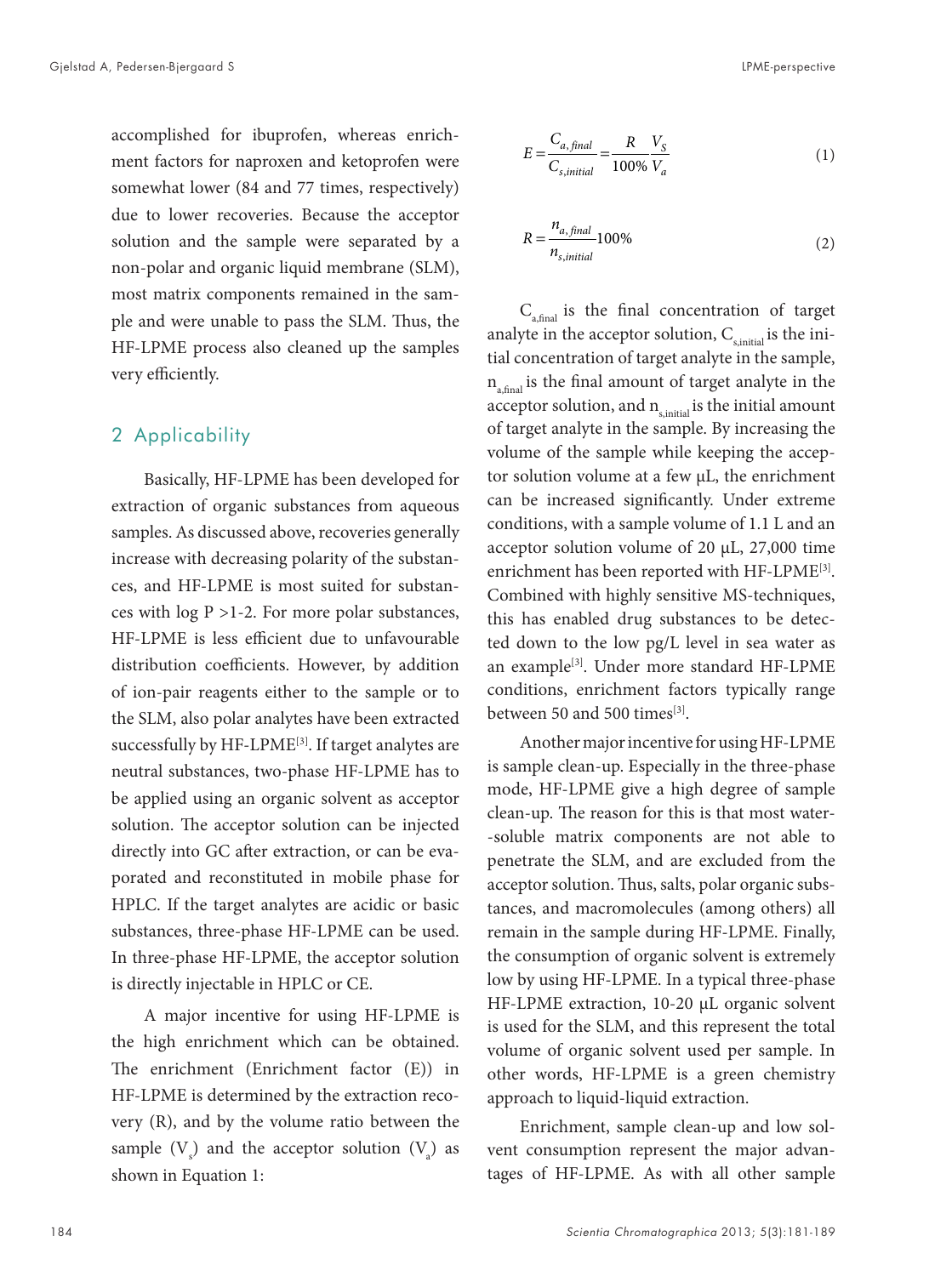accomplished for ibuprofen, whereas enrichment factors for naproxen and ketoprofen were somewhat lower (84 and 77 times, respectively) due to lower recoveries. Because the acceptor solution and the sample were separated by a non-polar and organic liquid membrane (SLM), most matrix components remained in the sample and were unable to pass the SLM. Thus, the HF-LPME process also cleaned up the samples very efficiently.

#### 2 Applicability

Basically, HF-LPME has been developed for extraction of organic substances from aqueous samples. As discussed above, recoveries generally increase with decreasing polarity of the substances, and HF-LPME is most suited for substances with  $log P > 1-2$ . For more polar substances, HF-LPME is less efficient due to unfavourable distribution coefficients. However, by addition of ion-pair reagents either to the sample or to the SLM, also polar analytes have been extracted successfully by HF-LPME<sup>[3]</sup>. If target analytes are neutral substances, two-phase HF-LPME has to be applied using an organic solvent as acceptor solution. The acceptor solution can be injected directly into GC after extraction, or can be evaporated and reconstituted in mobile phase for HPLC. If the target analytes are acidic or basic substances, three-phase HF-LPME can be used. In three-phase HF-LPME, the acceptor solution is directly injectable in HPLC or CE.

A major incentive for using HF-LPME is the high enrichment which can be obtained. The enrichment (Enrichment factor (E)) in HF-LPME is determined by the extraction recovery (R), and by the volume ratio between the sample  $(V_s)$  and the acceptor solution  $(V_a)$  as shown in Equation 1:

$$
E = \frac{C_{a, final}}{C_{s, initial}} = \frac{R}{100\%} \frac{V_S}{V_a}
$$
 (1)

$$
R = \frac{n_{a, final}}{n_{s, initial}} 100\%
$$
 (2)

 $C_{\text{a final}}$  is the final concentration of target analyte in the acceptor solution,  $C_{\text{simital}}$  is the initial concentration of target analyte in the sample,  $n_{\text{signal}}$  is the final amount of target analyte in the acceptor solution, and  $n_{\text{s,initial}}$  is the initial amount of target analyte in the sample. By increasing the volume of the sample while keeping the acceptor solution volume at a few  $\mu$ L, the enrichment can be increased significantly. Under extreme conditions, with a sample volume of 1.1 L and an acceptor solution volume of 20 µL, 27,000 time enrichment has been reported with HF-LPME[3]. Combined with highly sensitive MS-techniques, this has enabled drug substances to be detected down to the low pg/L level in sea water as an example<sup>[3]</sup>. Under more standard HF-LPME conditions, enrichment factors typically range between 50 and 500 times<sup>[3]</sup>.

Another major incentive for using HF-LPME is sample clean-up. Especially in the three-phase mode, HF-LPME give a high degree of sample clean-up. The reason for this is that most water- -soluble matrix components are not able to penetrate the SLM, and are excluded from the acceptor solution. Thus, salts, polar organic substances, and macromolecules (among others) all remain in the sample during HF-LPME. Finally, the consumption of organic solvent is extremely low by using HF-LPME. In a typical three-phase HF-LPME extraction, 10-20 µL organic solvent is used for the SLM, and this represent the total volume of organic solvent used per sample. In other words, HF-LPME is a green chemistry approach to liquid-liquid extraction.

Enrichment, sample clean-up and low solvent consumption represent the major advantages of HF-LPME. As with all other sample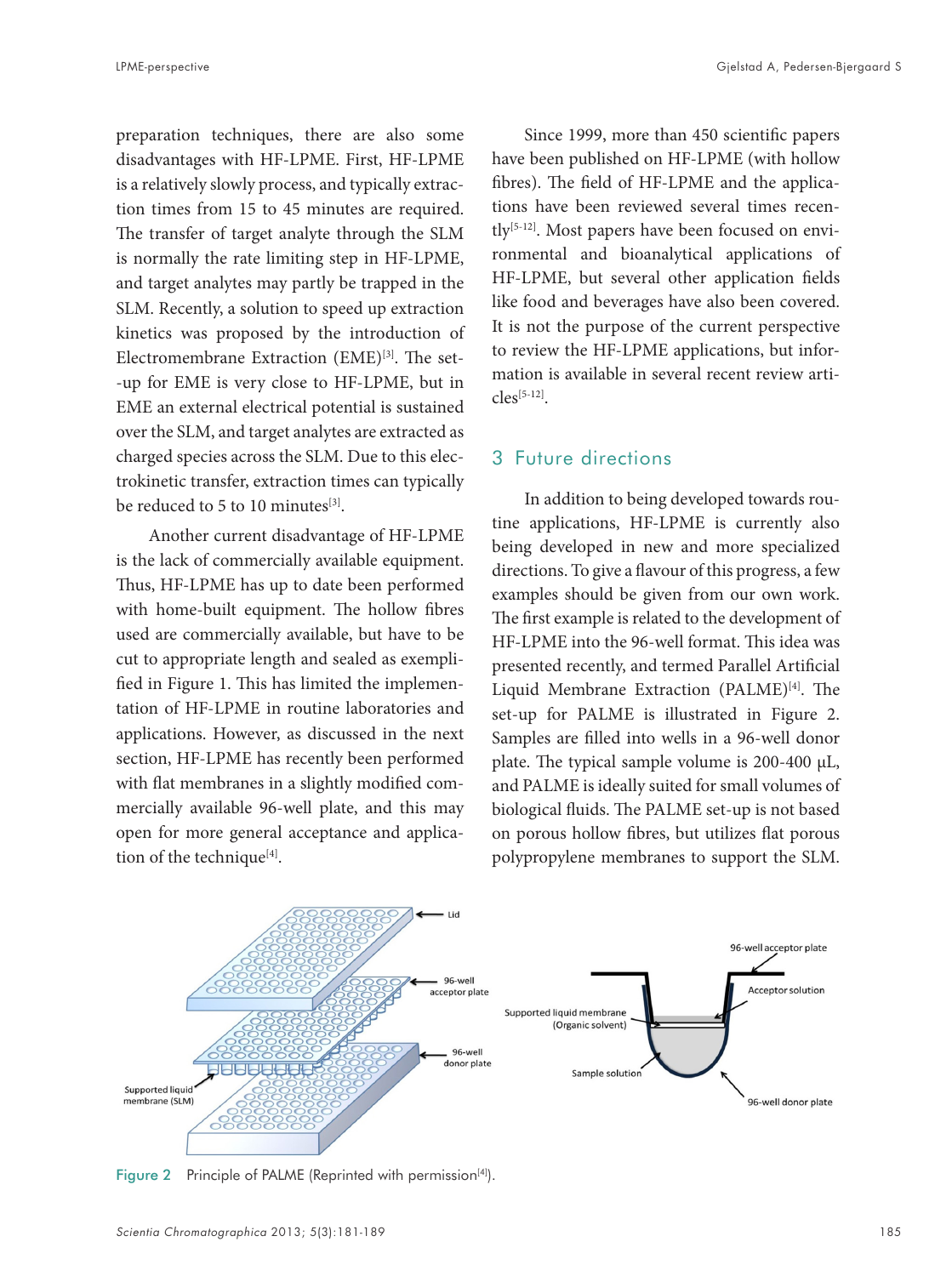preparation techniques, there are also some disadvantages with HF-LPME. First, HF-LPME is a relatively slowly process, and typically extraction times from 15 to 45 minutes are required. The transfer of target analyte through the SLM is normally the rate limiting step in HF-LPME, and target analytes may partly be trapped in the SLM. Recently, a solution to speed up extraction kinetics was proposed by the introduction of Electromembrane Extraction (EME)<sup>[3]</sup>. The set--up for EME is very close to HF-LPME, but in EME an external electrical potential is sustained over the SLM, and target analytes are extracted as

charged species across the SLM. Due to this electrokinetic transfer, extraction times can typically be reduced to 5 to 10 minutes $^{[3]}$ .

Another current disadvantage of HF-LPME is the lack of commercially available equipment. Thus, HF-LPME has up to date been performed with home-built equipment. The hollow fibres used are commercially available, but have to be cut to appropriate length and sealed as exemplified in Figure 1. This has limited the implementation of HF-LPME in routine laboratories and applications. However, as discussed in the next section, HF-LPME has recently been performed with flat membranes in a slightly modified commercially available 96-well plate, and this may open for more general acceptance and application of the technique<sup>[4]</sup>.

Since 1999, more than 450 scientific papers have been published on HF-LPME (with hollow fibres). The field of HF-LPME and the applications have been reviewed several times recently<sup>[5-12]</sup>. Most papers have been focused on environmental and bioanalytical applications of HF-LPME, but several other application fields like food and beverages have also been covered. It is not the purpose of the current perspective to review the HF-LPME applications, but information is available in several recent review arti $cles^{[5-12]}$ 

#### 3 Future directions

In addition to being developed towards routine applications, HF-LPME is currently also being developed in new and more specialized directions. To give a flavour of this progress, a few examples should be given from our own work. The first example is related to the development of HF-LPME into the 96-well format. This idea was presented recently, and termed Parallel Artificial Liquid Membrane Extraction (PALME)<sup>[4]</sup>. The set-up for PALME is illustrated in Figure 2. Samples are filled into wells in a 96-well donor plate. The typical sample volume is 200-400 µL, and PALME is ideally suited for small volumes of biological fluids. The PALME set-up is not based on porous hollow fibres, but utilizes flat porous polypropylene membranes to support the SLM.



Figure 2 Principle of PALME (Reprinted with permission<sup>[4]</sup>).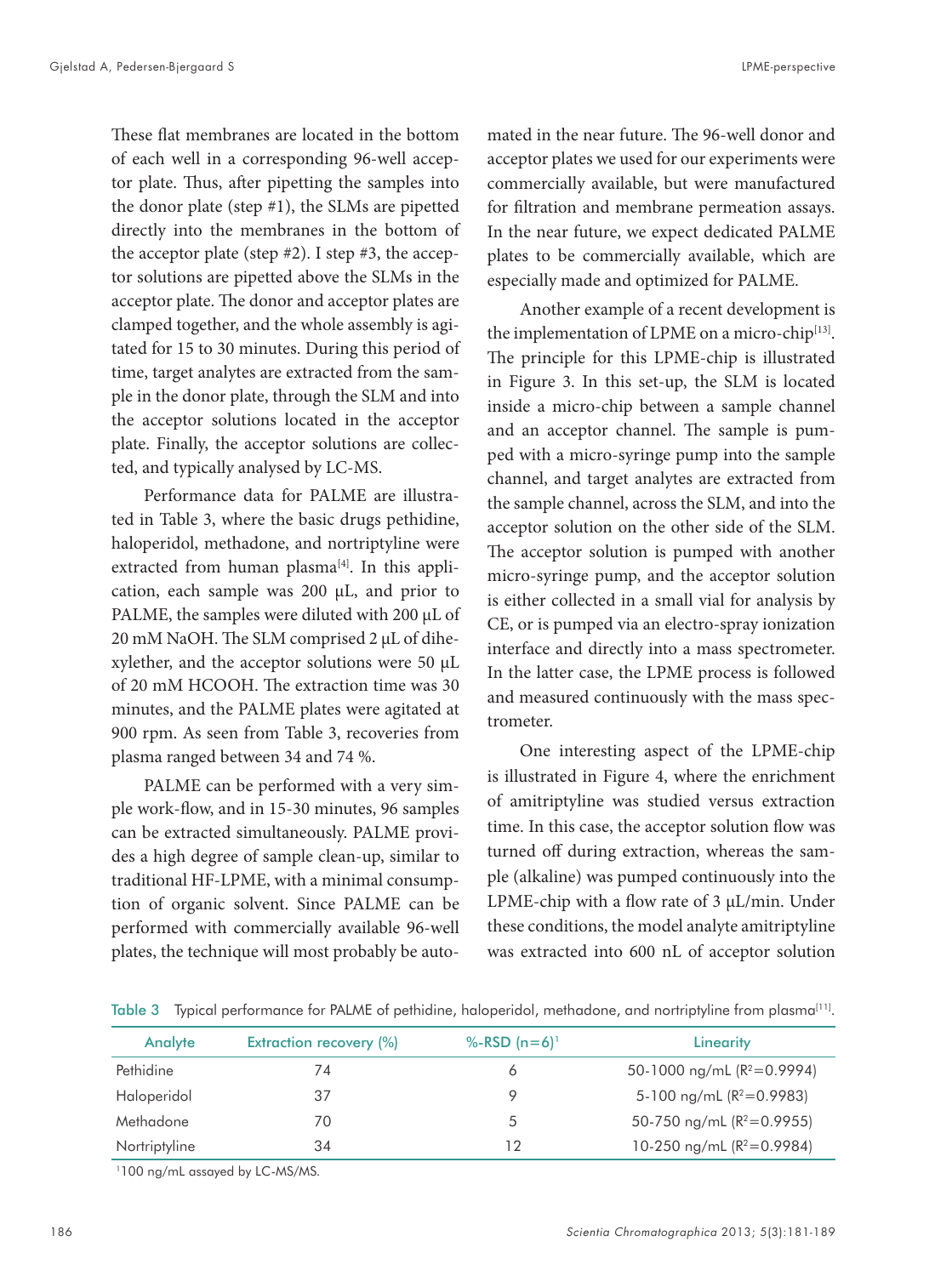These flat membranes are located in the bottom of each well in a corresponding 96-well acceptor plate. Thus, after pipetting the samples into the donor plate (step #1), the SLMs are pipetted directly into the membranes in the bottom of the acceptor plate (step #2). I step #3, the acceptor solutions are pipetted above the SLMs in the acceptor plate. The donor and acceptor plates are clamped together, and the whole assembly is agitated for 15 to 30 minutes. During this period of time, target analytes are extracted from the sample in the donor plate, through the SLM and into the acceptor solutions located in the acceptor plate. Finally, the acceptor solutions are collected, and typically analysed by LC-MS.

Performance data for PALME are illustrated in Table 3, where the basic drugs pethidine, haloperidol, methadone, and nortriptyline were extracted from human plasma<sup>[4]</sup>. In this application, each sample was 200 µL, and prior to PALME, the samples were diluted with 200 µL of 20 mM NaOH. The SLM comprised 2 µL of dihexylether, and the acceptor solutions were 50 µL of 20 mM HCOOH. The extraction time was 30 minutes, and the PALME plates were agitated at 900 rpm. As seen from Table 3, recoveries from plasma ranged between 34 and 74 %.

PALME can be performed with a very simple work-flow, and in 15-30 minutes, 96 samples can be extracted simultaneously. PALME provides a high degree of sample clean-up, similar to traditional HF-LPME, with a minimal consumption of organic solvent. Since PALME can be performed with commercially available 96-well plates, the technique will most probably be autoacceptor plates we used for our experiments were commercially available, but were manufactured for filtration and membrane permeation assays. In the near future, we expect dedicated PALME plates to be commercially available, which are especially made and optimized for PALME.

Another example of a recent development is the implementation of LPME on a micro-chip<sup>[13]</sup>. The principle for this LPME-chip is illustrated in Figure 3. In this set-up, the SLM is located inside a micro-chip between a sample channel and an acceptor channel. The sample is pumped with a micro-syringe pump into the sample channel, and target analytes are extracted from the sample channel, across the SLM, and into the acceptor solution on the other side of the SLM. The acceptor solution is pumped with another micro-syringe pump, and the acceptor solution is either collected in a small vial for analysis by CE, or is pumped via an electro-spray ionization interface and directly into a mass spectrometer. In the latter case, the LPME process is followed and measured continuously with the mass spectrometer.

One interesting aspect of the LPME-chip is illustrated in Figure 4, where the enrichment of amitriptyline was studied versus extraction time. In this case, the acceptor solution flow was turned off during extraction, whereas the sample (alkaline) was pumped continuously into the LPME-chip with a flow rate of 3 µL/min. Under these conditions, the model analyte amitriptyline was extracted into 600 nL of acceptor solution

| Analyte       | <b>Extraction recovery (%)</b> | %-RSD $(n=6)^{1}$ | Linearity                      |
|---------------|--------------------------------|-------------------|--------------------------------|
| Pethidine     | 74                             |                   | 50-1000 ng/mL ( $R^2$ =0.9994) |
| Haloperidol   | 37                             |                   | 5-100 ng/mL ( $R^2$ =0.9983)   |
| Methadone     | 70                             |                   | 50-750 ng/mL $(R^2=0.9955)$    |
| Nortriptyline | 34                             | 12                | 10-250 ng/mL ( $R^2$ =0.9984)  |

Table 3 Typical performance for PALME of pethidine, haloperidol, methadone, and nortriptyline from plasma<sup>[11]</sup>.

1100 ng/mL assayed by LC-MS/MS.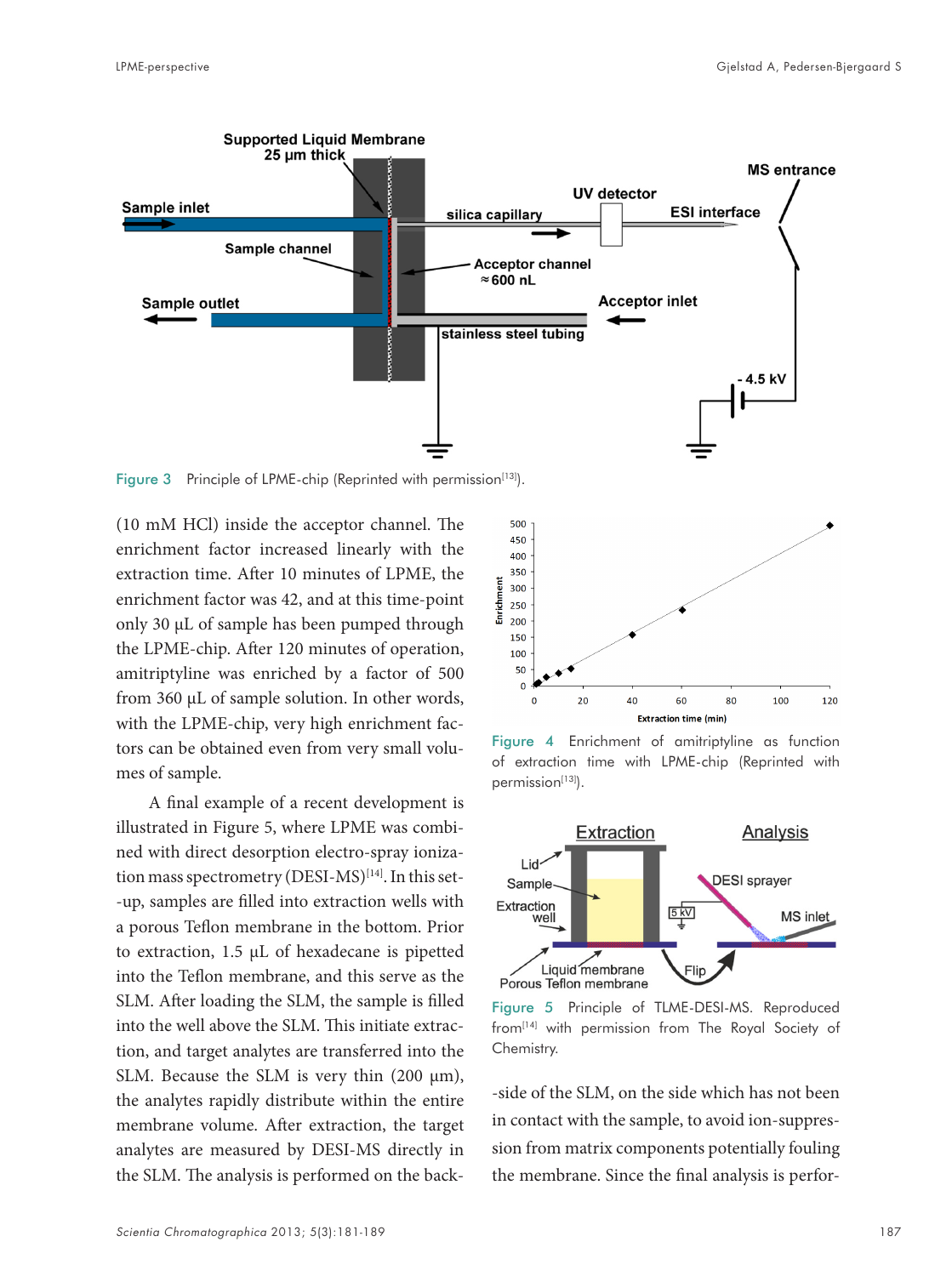

Figure 3 Principle of LPME-chip (Reprinted with permission $[13]$ ).

(10 mM HCl) inside the acceptor channel. The enrichment factor increased linearly with the extraction time. After 10 minutes of LPME, the enrichment factor was 42, and at this time-point only 30 µL of sample has been pumped through the LPME-chip. After 120 minutes of operation, amitriptyline was enriched by a factor of 500 from 360 µL of sample solution. In other words, with the LPME-chip, very high enrichment factors can be obtained even from very small volumes of sample.

A final example of a recent development is illustrated in Figure 5, where LPME was combined with direct desorption electro-spray ionization mass spectrometry (DESI-MS)<sup>[14]</sup>. In this set--up, samples are filled into extraction wells with a porous Teflon membrane in the bottom. Prior to extraction, 1.5 µL of hexadecane is pipetted into the Teflon membrane, and this serve as the SLM. After loading the SLM, the sample is filled into the well above the SLM. This initiate extraction, and target analytes are transferred into the SLM. Because the SLM is very thin  $(200 \mu m)$ , the analytes rapidly distribute within the entire membrane volume. After extraction, the target analytes are measured by DESI-MS directly in the SLM. The analysis is performed on the back-



Figure 4 Enrichment of amitriptyline as function of extraction time with LPME-chip (Reprinted with permission<sup>[13]</sup>).



Figure 5 Principle of TLME-DESI-MS. Reproduced from<sup>[14]</sup> with permission from The Royal Society of Chemistry.

-side of the SLM, on the side which has not been in contact with the sample, to avoid ion-suppression from matrix components potentially fouling the membrane. Since the final analysis is perfor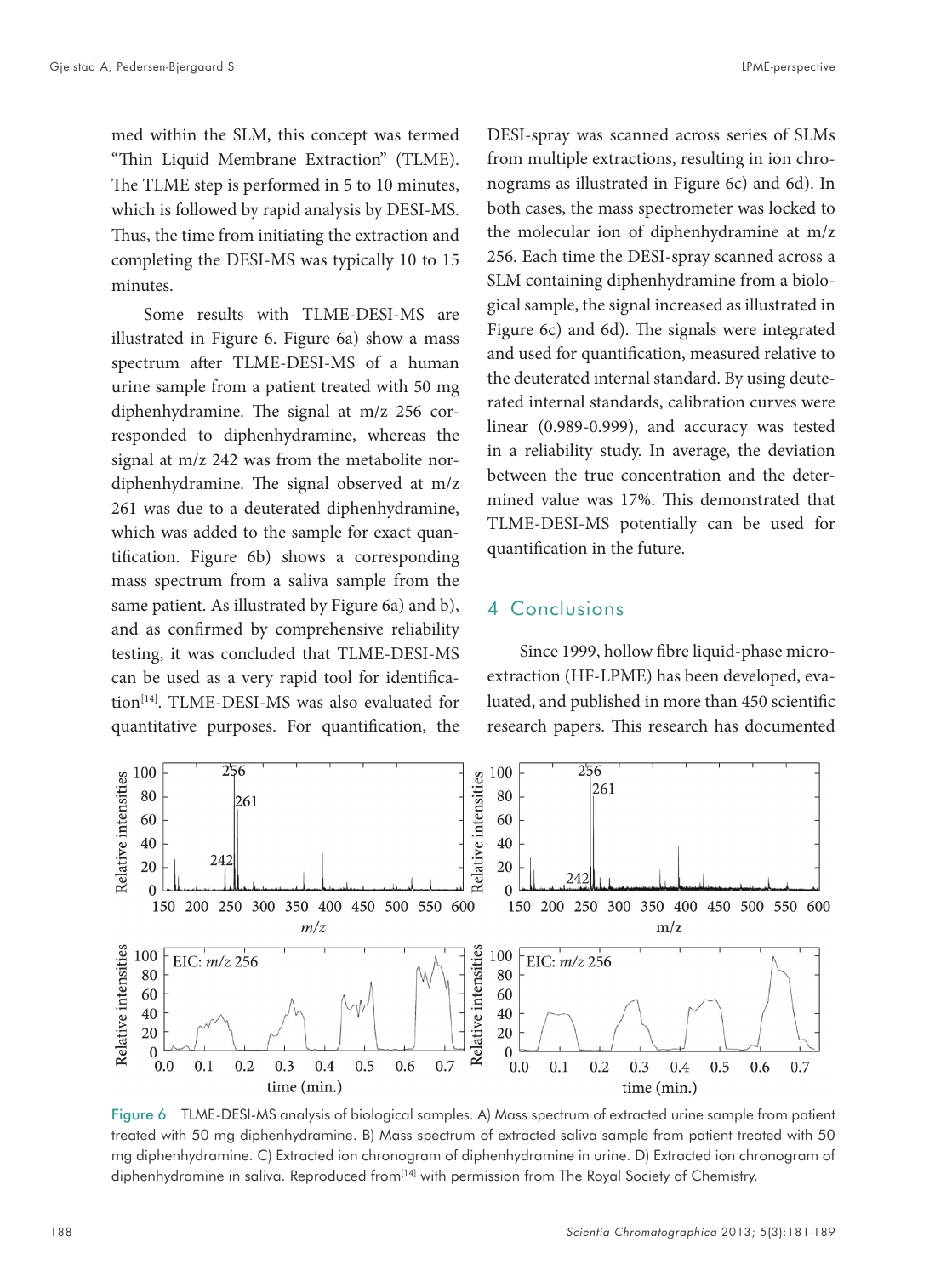med within the SLM, this concept was termed "Thin Liquid Membrane Extraction" (TLME). The TLME step is performed in 5 to 10 minutes, which is followed by rapid analysis by DESI-MS. Thus, the time from initiating the extraction and completing the DESI-MS was typically 10 to 15 minutes.

Some results with TLME-DESI-MS are illustrated in Figure 6. Figure 6a) show a mass spectrum after TLME-DESI-MS of a human urine sample from a patient treated with 50 mg diphenhydramine. The signal at m/z 256 corresponded to diphenhydramine, whereas the signal at m/z 242 was from the metabolite nordiphenhydramine. The signal observed at m/z 261 was due to a deuterated diphenhydramine, which was added to the sample for exact quantification. Figure 6b) shows a corresponding mass spectrum from a saliva sample from the same patient. As illustrated by Figure 6a) and b), and as confirmed by comprehensive reliability testing, it was concluded that TLME-DESI-MS can be used as a very rapid tool for identification<sup>[14]</sup>. TLME-DESI-MS was also evaluated for quantitative purposes. For quantification, the

DESI-spray was scanned across series of SLMs from multiple extractions, resulting in ion chronograms as illustrated in Figure 6c) and 6d). In both cases, the mass spectrometer was locked to the molecular ion of diphenhydramine at m/z 256. Each time the DESI-spray scanned across a SLM containing diphenhydramine from a biological sample, the signal increased as illustrated in Figure 6c) and 6d). The signals were integrated and used for quantification, measured relative to the deuterated internal standard. By using deuterated internal standards, calibration curves were linear (0.989-0.999), and accuracy was tested in a reliability study. In average, the deviation between the true concentration and the determined value was 17%. This demonstrated that TLME-DESI-MS potentially can be used for quantification in the future.

### 4 Conclusions

Since 1999, hollow fibre liquid-phase microextraction (HF-LPME) has been developed, evaluated, and published in more than 450 scientific research papers. This research has documented



Figure 6 TLME-DESI-MS analysis of biological samples. A) Mass spectrum of extracted urine sample from patient treated with 50 mg diphenhydramine. B) Mass spectrum of extracted saliva sample from patient treated with 50 mg diphenhydramine. C) Extracted ion chronogram of diphenhydramine in urine. D) Extracted ion chronogram of diphenhydramine in saliva. Reproduced from<sup>[14]</sup> with permission from The Royal Society of Chemistry.